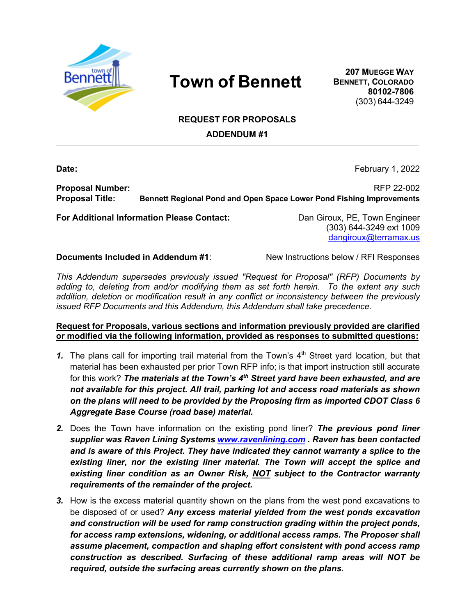

## **Town of Bennett**

**207 MUEGGE WAY BENNETT, COLORADO 80102-7806** (303) 644-3249

## **REQUEST FOR PROPOSALS**

**ADDENDUM #1**

**Date:** February 1, 2022

**Proposal Number:** RFP 22-002 **Proposal Title: Bennett Regional Pond and Open Space Lower Pond Fishing Improvements**

**For Additional Information Please Contact:** Dan Giroux, PE, Town Engineer

(303) 644-3249 ext 1009 dangiroux@terramax.us

**Documents Included in Addendum #1:** New Instructions below / RFI Responses

*This Addendum supersedes previously issued "Request for Proposal" (RFP) Documents by adding to, deleting from and/or modifying them as set forth herein. To the extent any such addition, deletion or modification result in any conflict or inconsistency between the previously issued RFP Documents and this Addendum, this Addendum shall take precedence.* 

**Request for Proposals, various sections and information previously provided are clarified or modified via the following information, provided as responses to submitted questions:**

- **1.** The plans call for importing trail material from the Town's  $4<sup>th</sup>$  Street yard location, but that material has been exhausted per prior Town RFP info; is that import instruction still accurate for this work? *The materials at the Town's 4th Street yard have been exhausted, and are not available for this project. All trail, parking lot and access road materials as shown on the plans will need to be provided by the Proposing firm as imported CDOT Class 6 Aggregate Base Course (road base) material.*
- *2.* Does the Town have information on the existing pond liner? *The previous pond liner supplier was Raven Lining Systems www.ravenlining.com . Raven has been contacted and is aware of this Project. They have indicated they cannot warranty a splice to the*  existing liner, nor the existing liner material. The Town will accept the splice and *existing liner condition as an Owner Risk, NOT subject to the Contractor warranty requirements of the remainder of the project.*
- *3.* How is the excess material quantity shown on the plans from the west pond excavations to be disposed of or used? *Any excess material yielded from the west ponds excavation and construction will be used for ramp construction grading within the project ponds, for access ramp extensions, widening, or additional access ramps. The Proposer shall assume placement, compaction and shaping effort consistent with pond access ramp construction as described. Surfacing of these additional ramp areas will NOT be required, outside the surfacing areas currently shown on the plans.*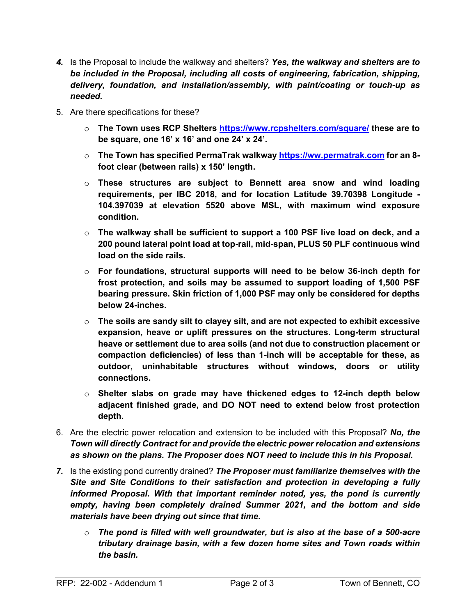- *4.* Is the Proposal to include the walkway and shelters? *Yes, the walkway and shelters are to be included in the Proposal, including all costs of engineering, fabrication, shipping, delivery, foundation, and installation/assembly, with paint/coating or touch-up as needed.*
- 5. Are there specifications for these?
	- o **The Town uses RCP Shelters https://www.rcpshelters.com/square/ these are to be square, one 16' x 16' and one 24' x 24'.**
	- o **The Town has specified PermaTrak walkway https://ww.permatrak.com for an 8 foot clear (between rails) x 150' length.**
	- o **These structures are subject to Bennett area snow and wind loading requirements, per IBC 2018, and for location Latitude 39.70398 Longitude - 104.397039 at elevation 5520 above MSL, with maximum wind exposure condition.**
	- o **The walkway shall be sufficient to support a 100 PSF live load on deck, and a 200 pound lateral point load at top-rail, mid-span, PLUS 50 PLF continuous wind load on the side rails.**
	- o **For foundations, structural supports will need to be below 36-inch depth for frost protection, and soils may be assumed to support loading of 1,500 PSF bearing pressure. Skin friction of 1,000 PSF may only be considered for depths below 24-inches.**
	- o **The soils are sandy silt to clayey silt, and are not expected to exhibit excessive expansion, heave or uplift pressures on the structures. Long-term structural heave or settlement due to area soils (and not due to construction placement or compaction deficiencies) of less than 1-inch will be acceptable for these, as outdoor, uninhabitable structures without windows, doors or utility connections.**
	- o **Shelter slabs on grade may have thickened edges to 12-inch depth below adjacent finished grade, and DO NOT need to extend below frost protection depth.**
- 6. Are the electric power relocation and extension to be included with this Proposal? *No, the Town will directly Contract for and provide the electric power relocation and extensions as shown on the plans. The Proposer does NOT need to include this in his Proposal.*
- *7.* Is the existing pond currently drained? *The Proposer must familiarize themselves with the Site and Site Conditions to their satisfaction and protection in developing a fully informed Proposal. With that important reminder noted, yes, the pond is currently empty, having been completely drained Summer 2021, and the bottom and side materials have been drying out since that time.*
	- o *The pond is filled with well groundwater, but is also at the base of a 500-acre tributary drainage basin, with a few dozen home sites and Town roads within the basin.*